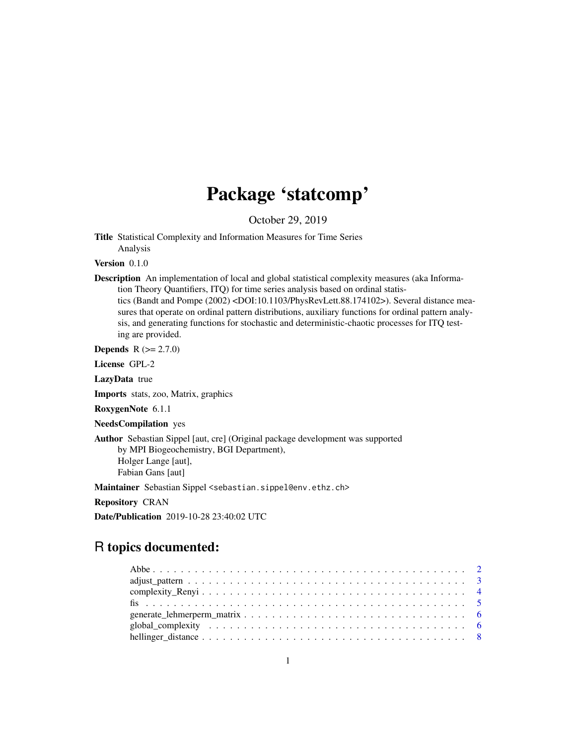# Package 'statcomp'

October 29, 2019

Title Statistical Complexity and Information Measures for Time Series Analysis

Version 0.1.0

Description An implementation of local and global statistical complexity measures (aka Information Theory Quantifiers, ITQ) for time series analysis based on ordinal statistics (Bandt and Pompe (2002) <DOI:10.1103/PhysRevLett.88.174102>). Several distance measures that operate on ordinal pattern distributions, auxiliary functions for ordinal pattern analysis, and generating functions for stochastic and deterministic-chaotic processes for ITQ testing are provided.

**Depends**  $R (= 2.7.0)$ 

License GPL-2

LazyData true

Imports stats, zoo, Matrix, graphics

RoxygenNote 6.1.1

NeedsCompilation yes

Author Sebastian Sippel [aut, cre] (Original package development was supported by MPI Biogeochemistry, BGI Department), Holger Lange [aut], Fabian Gans [aut]

Maintainer Sebastian Sippel <sebastian.sippel@env.ethz.ch>

Repository CRAN

Date/Publication 2019-10-28 23:40:02 UTC

# R topics documented: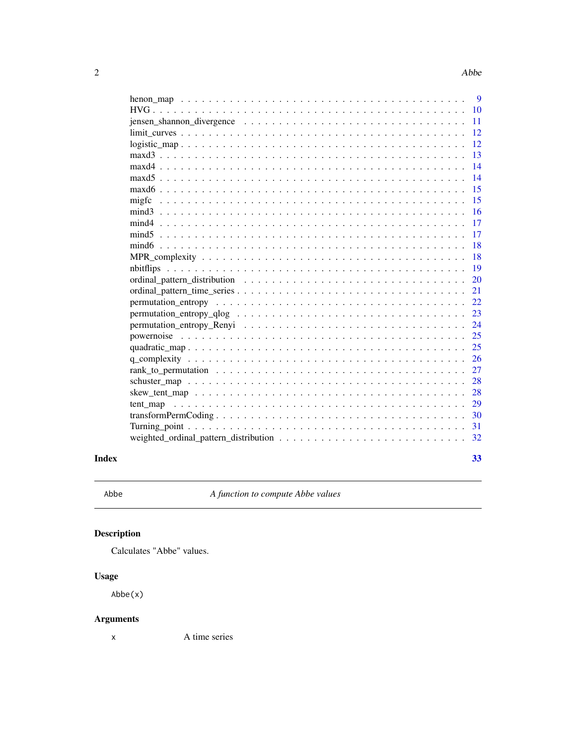<span id="page-1-0"></span>

|                                                                                                             |  |  |  |  |  |  |  |  |  | 9  |
|-------------------------------------------------------------------------------------------------------------|--|--|--|--|--|--|--|--|--|----|
|                                                                                                             |  |  |  |  |  |  |  |  |  | 10 |
| $jensen_s$ hannon divergence $\ldots \ldots \ldots \ldots \ldots \ldots \ldots \ldots \ldots \ldots \ldots$ |  |  |  |  |  |  |  |  |  | 11 |
|                                                                                                             |  |  |  |  |  |  |  |  |  | 12 |
| $logistic\_map$                                                                                             |  |  |  |  |  |  |  |  |  | 12 |
|                                                                                                             |  |  |  |  |  |  |  |  |  | 13 |
| $maxd4$                                                                                                     |  |  |  |  |  |  |  |  |  | 14 |
|                                                                                                             |  |  |  |  |  |  |  |  |  | 14 |
|                                                                                                             |  |  |  |  |  |  |  |  |  | 15 |
| migfc                                                                                                       |  |  |  |  |  |  |  |  |  | 15 |
|                                                                                                             |  |  |  |  |  |  |  |  |  | 16 |
|                                                                                                             |  |  |  |  |  |  |  |  |  | 17 |
|                                                                                                             |  |  |  |  |  |  |  |  |  | 17 |
|                                                                                                             |  |  |  |  |  |  |  |  |  | 18 |
|                                                                                                             |  |  |  |  |  |  |  |  |  | 18 |
|                                                                                                             |  |  |  |  |  |  |  |  |  | 19 |
|                                                                                                             |  |  |  |  |  |  |  |  |  | 20 |
|                                                                                                             |  |  |  |  |  |  |  |  |  | 21 |
|                                                                                                             |  |  |  |  |  |  |  |  |  | 22 |
|                                                                                                             |  |  |  |  |  |  |  |  |  | 23 |
|                                                                                                             |  |  |  |  |  |  |  |  |  | 24 |
|                                                                                                             |  |  |  |  |  |  |  |  |  | 25 |
|                                                                                                             |  |  |  |  |  |  |  |  |  | 25 |
|                                                                                                             |  |  |  |  |  |  |  |  |  | 26 |
|                                                                                                             |  |  |  |  |  |  |  |  |  | 27 |
|                                                                                                             |  |  |  |  |  |  |  |  |  | 28 |
|                                                                                                             |  |  |  |  |  |  |  |  |  | 28 |
|                                                                                                             |  |  |  |  |  |  |  |  |  | 29 |
|                                                                                                             |  |  |  |  |  |  |  |  |  | 30 |
|                                                                                                             |  |  |  |  |  |  |  |  |  | 31 |
|                                                                                                             |  |  |  |  |  |  |  |  |  | 32 |
|                                                                                                             |  |  |  |  |  |  |  |  |  |    |
|                                                                                                             |  |  |  |  |  |  |  |  |  | 33 |

Abbe *A function to compute Abbe values*

# Description

Calculates "Abbe" values.

# Usage

Abbe(x)

# Arguments

x A time series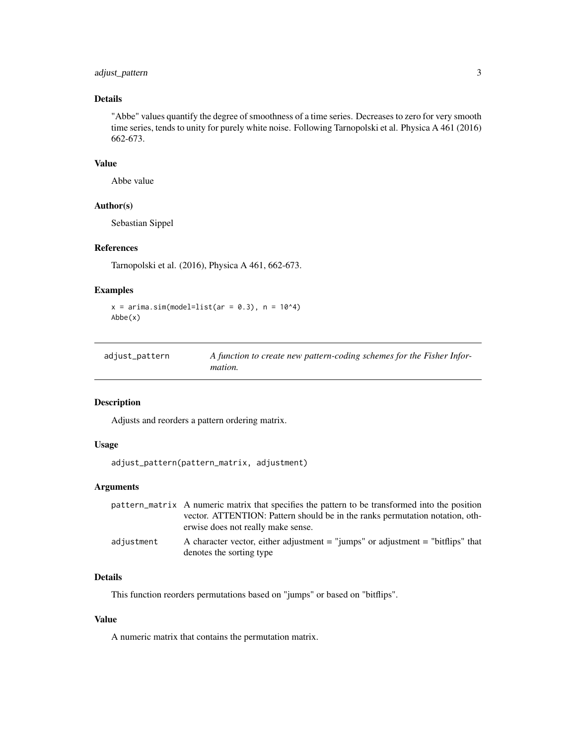# <span id="page-2-0"></span>adjust\_pattern 3

# Details

"Abbe" values quantify the degree of smoothness of a time series. Decreases to zero for very smooth time series, tends to unity for purely white noise. Following Tarnopolski et al. Physica A 461 (2016) 662-673.

# Value

Abbe value

#### Author(s)

Sebastian Sippel

# References

Tarnopolski et al. (2016), Physica A 461, 662-673.

# Examples

```
x = \text{arima.sim}(\text{model=list}(\text{ar} = 0.3), n = 10^4)Abbe(x)
```

| adjust_pattern | A function to create new pattern-coding schemes for the Fisher Infor- |
|----------------|-----------------------------------------------------------------------|
|                | <i>mation.</i>                                                        |

# Description

Adjusts and reorders a pattern ordering matrix.

# Usage

```
adjust_pattern(pattern_matrix, adjustment)
```
# Arguments

|            | pattern_matrix A numeric matrix that specifies the pattern to be transformed into the position<br>vector. ATTENTION: Pattern should be in the ranks permutation notation, oth- |
|------------|--------------------------------------------------------------------------------------------------------------------------------------------------------------------------------|
|            | erwise does not really make sense.                                                                                                                                             |
| adiustment | A character vector, either adjustment $=$ "jumps" or adjustment $=$ "bitflips" that<br>denotes the sorting type                                                                |

# Details

This function reorders permutations based on "jumps" or based on "bitflips".

### Value

A numeric matrix that contains the permutation matrix.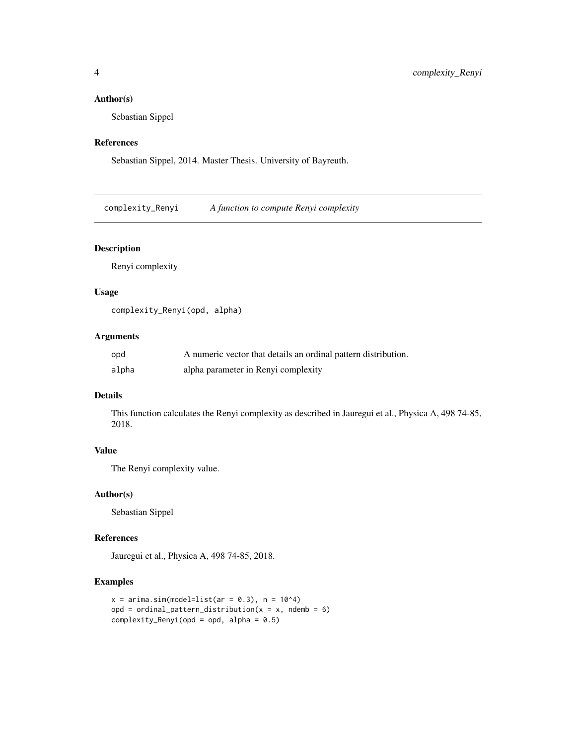# <span id="page-3-0"></span>Author(s)

Sebastian Sippel

#### References

Sebastian Sippel, 2014. Master Thesis. University of Bayreuth.

complexity\_Renyi *A function to compute Renyi complexity*

# Description

Renyi complexity

# Usage

complexity\_Renyi(opd, alpha)

# Arguments

| opd   | A numeric vector that details an ordinal pattern distribution. |
|-------|----------------------------------------------------------------|
| alpha | alpha parameter in Renyi complexity                            |

# Details

This function calculates the Renyi complexity as described in Jauregui et al., Physica A, 498 74-85, 2018.

# Value

The Renyi complexity value.

#### Author(s)

Sebastian Sippel

### References

Jauregui et al., Physica A, 498 74-85, 2018.

```
x = \text{arima.sim}(\text{model=list}(\text{ar} = 0.3), n = 10^4)opd = ordinal_pattern_distribution(x = x, ndemb = 6)
complexity_Renyi(opd = opd, alpha = 0.5)
```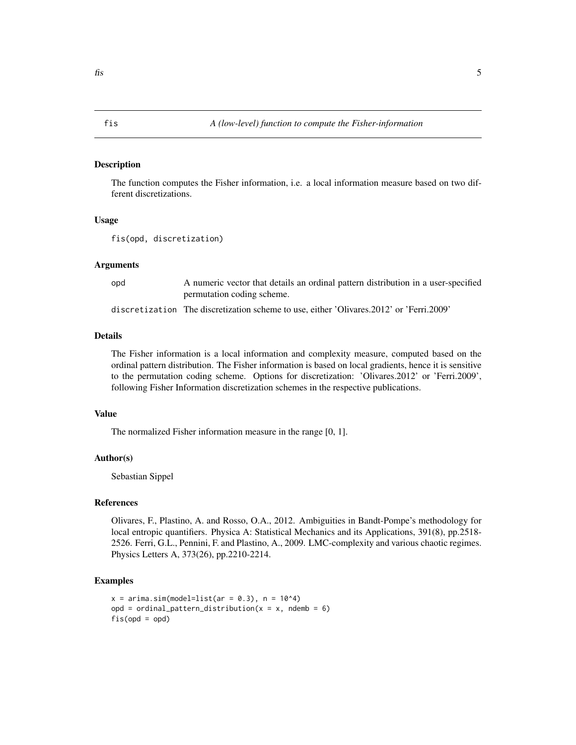<span id="page-4-0"></span>The function computes the Fisher information, i.e. a local information measure based on two different discretizations.

#### Usage

fis(opd, discretization)

#### Arguments

opd A numeric vector that details an ordinal pattern distribution in a user-specified permutation coding scheme.

discretization The discretization scheme to use, either 'Olivares.2012' or 'Ferri.2009'

# Details

The Fisher information is a local information and complexity measure, computed based on the ordinal pattern distribution. The Fisher information is based on local gradients, hence it is sensitive to the permutation coding scheme. Options for discretization: 'Olivares.2012' or 'Ferri.2009', following Fisher Information discretization schemes in the respective publications.

#### Value

The normalized Fisher information measure in the range [0, 1].

#### Author(s)

Sebastian Sippel

### References

Olivares, F., Plastino, A. and Rosso, O.A., 2012. Ambiguities in Bandt-Pompe's methodology for local entropic quantifiers. Physica A: Statistical Mechanics and its Applications, 391(8), pp.2518- 2526. Ferri, G.L., Pennini, F. and Plastino, A., 2009. LMC-complexity and various chaotic regimes. Physics Letters A, 373(26), pp.2210-2214.

```
x = \arima.sim(model=list(ar = 0.3), n = 10<sup>4</sup>4)opd = ordinal_pattern_distribution(x = x, ndemb = 6)
fis(opd = opd)
```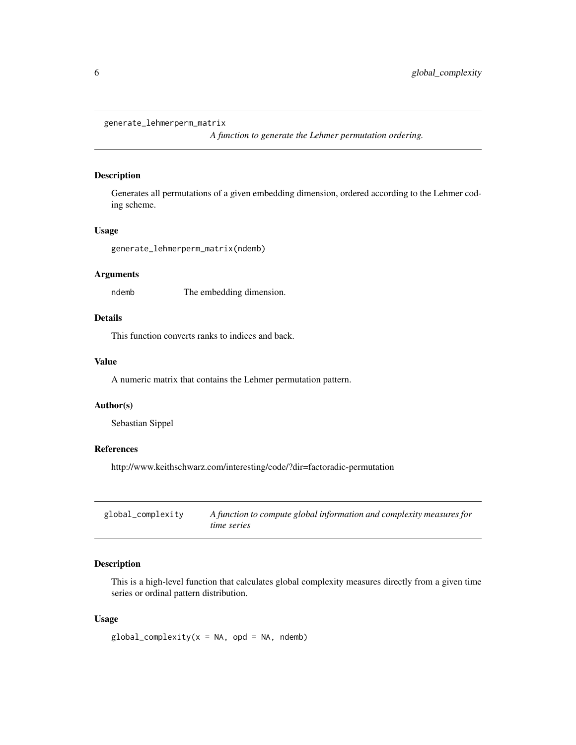```
generate_lehmerperm_matrix
```
*A function to generate the Lehmer permutation ordering.*

# Description

Generates all permutations of a given embedding dimension, ordered according to the Lehmer coding scheme.

# Usage

generate\_lehmerperm\_matrix(ndemb)

# Arguments

ndemb The embedding dimension.

# Details

This function converts ranks to indices and back.

# Value

A numeric matrix that contains the Lehmer permutation pattern.

# Author(s)

Sebastian Sippel

# References

http://www.keithschwarz.com/interesting/code/?dir=factoradic-permutation

| global_complexity | A function to compute global information and complexity measures for |
|-------------------|----------------------------------------------------------------------|
|                   | time series                                                          |

# Description

This is a high-level function that calculates global complexity measures directly from a given time series or ordinal pattern distribution.

#### Usage

 $global\_complexity(x = NA, opd = NA, ndemb)$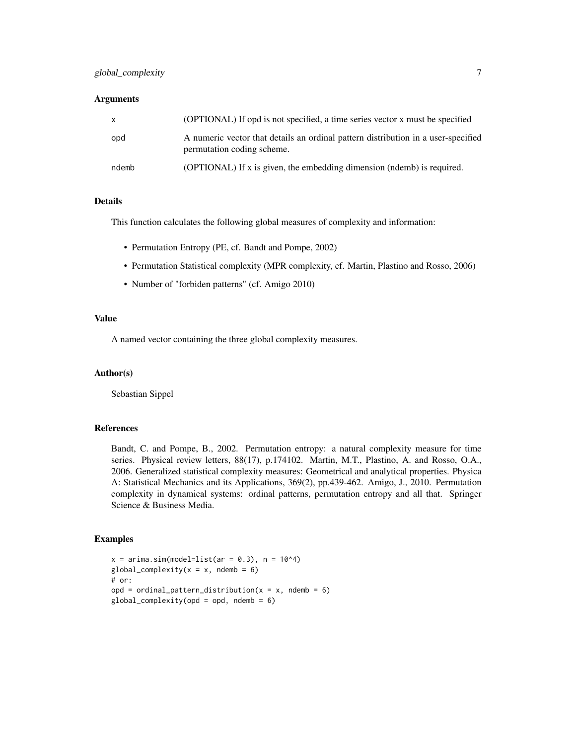#### **Arguments**

| $\mathsf{x}$ | (OPTIONAL) If opd is not specified, a time series vector x must be specified                                    |
|--------------|-----------------------------------------------------------------------------------------------------------------|
| opd          | A numeric vector that details an ordinal pattern distribution in a user-specified<br>permutation coding scheme. |
| ndemb        | (OPTIONAL) If x is given, the embedding dimension (ndemb) is required.                                          |

# Details

This function calculates the following global measures of complexity and information:

- Permutation Entropy (PE, cf. Bandt and Pompe, 2002)
- Permutation Statistical complexity (MPR complexity, cf. Martin, Plastino and Rosso, 2006)
- Number of "forbiden patterns" (cf. Amigo 2010)

# Value

A named vector containing the three global complexity measures.

# Author(s)

Sebastian Sippel

#### References

Bandt, C. and Pompe, B., 2002. Permutation entropy: a natural complexity measure for time series. Physical review letters, 88(17), p.174102. Martin, M.T., Plastino, A. and Rosso, O.A., 2006. Generalized statistical complexity measures: Geometrical and analytical properties. Physica A: Statistical Mechanics and its Applications, 369(2), pp.439-462. Amigo, J., 2010. Permutation complexity in dynamical systems: ordinal patterns, permutation entropy and all that. Springer Science & Business Media.

```
x = \arima.sim(model=list(ar = 0.3), n = 10<sup>4</sup>)global\_complexity(x = x, ndemb = 6)
# or:
opd = ordinal_pattern_distribution(x = x, ndemb = 6)
global\_complexity(opd = opd, ndemb = 6)
```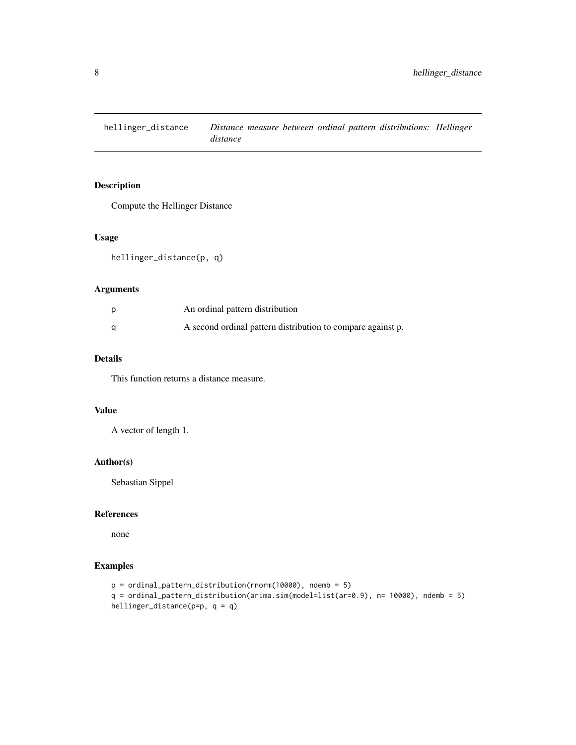<span id="page-7-0"></span>hellinger\_distance *Distance measure between ordinal pattern distributions: Hellinger distance*

# Description

Compute the Hellinger Distance

# Usage

hellinger\_distance(p, q)

# Arguments

| An ordinal pattern distribution                             |
|-------------------------------------------------------------|
| A second ordinal pattern distribution to compare against p. |

# Details

This function returns a distance measure.

### Value

A vector of length 1.

#### Author(s)

Sebastian Sippel

#### References

none

```
p = ordinal_pattern_distribution(rnorm(10000), ndemb = 5)
q = ordinal_pattern_distribution(arima.sim(model=list(ar=0.9), n= 10000), ndemb = 5)
hellinger_distance(p=p, q = q)
```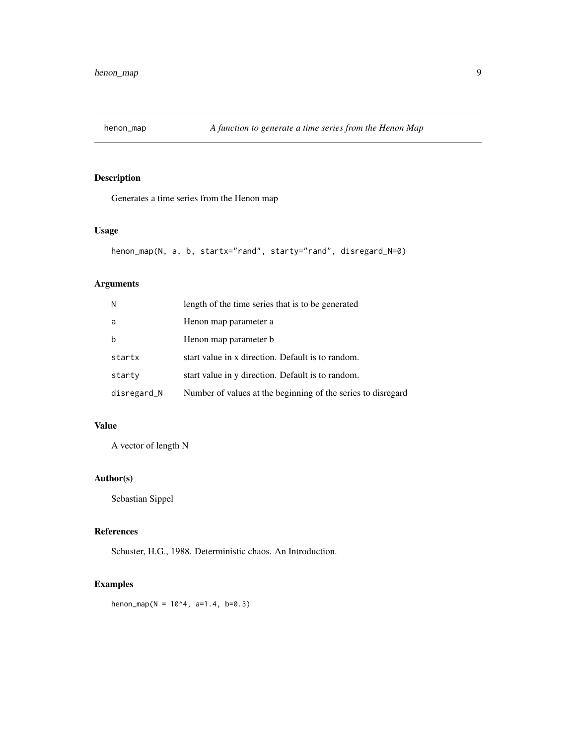<span id="page-8-0"></span>

Generates a time series from the Henon map

# Usage

```
henon_map(N, a, b, startx="rand", starty="rand", disregard_N=0)
```
# Arguments

| N           | length of the time series that is to be generated            |
|-------------|--------------------------------------------------------------|
| a           | Henon map parameter a                                        |
| b           | Henon map parameter b                                        |
| startx      | start value in x direction. Default is to random.            |
| starty      | start value in y direction. Default is to random.            |
| disregard_N | Number of values at the beginning of the series to disregard |

# Value

A vector of length N

# Author(s)

Sebastian Sippel

# References

Schuster, H.G., 1988. Deterministic chaos. An Introduction.

# Examples

henon\_map( $N = 10^4, a=1.4, b=0.3$ )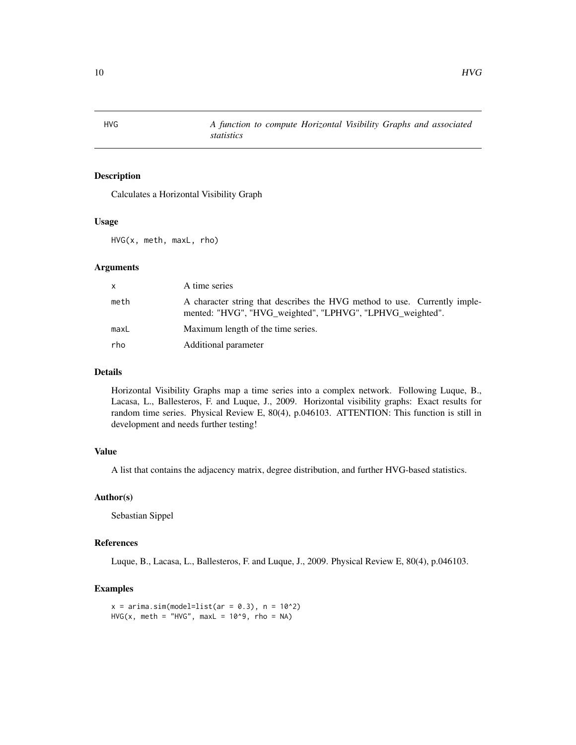<span id="page-9-0"></span>HVG *A function to compute Horizontal Visibility Graphs and associated statistics*

# Description

Calculates a Horizontal Visibility Graph

# Usage

HVG(x, meth, maxL, rho)

#### Arguments

| X    | A time series                                                                                                                          |
|------|----------------------------------------------------------------------------------------------------------------------------------------|
| meth | A character string that describes the HVG method to use. Currently imple-<br>mented: "HVG", "HVG_weighted", "LPHVG", "LPHVG_weighted". |
| maxL | Maximum length of the time series.                                                                                                     |
| rho  | Additional parameter                                                                                                                   |

# Details

Horizontal Visibility Graphs map a time series into a complex network. Following Luque, B., Lacasa, L., Ballesteros, F. and Luque, J., 2009. Horizontal visibility graphs: Exact results for random time series. Physical Review E, 80(4), p.046103. ATTENTION: This function is still in development and needs further testing!

# Value

A list that contains the adjacency matrix, degree distribution, and further HVG-based statistics.

# Author(s)

Sebastian Sippel

# References

Luque, B., Lacasa, L., Ballesteros, F. and Luque, J., 2009. Physical Review E, 80(4), p.046103.

```
x = \arima.sim(model=list(ar = 0.3), n = 10^2)HVG(x, meth = "HVG", maxL = 10^9, rho = NA)
```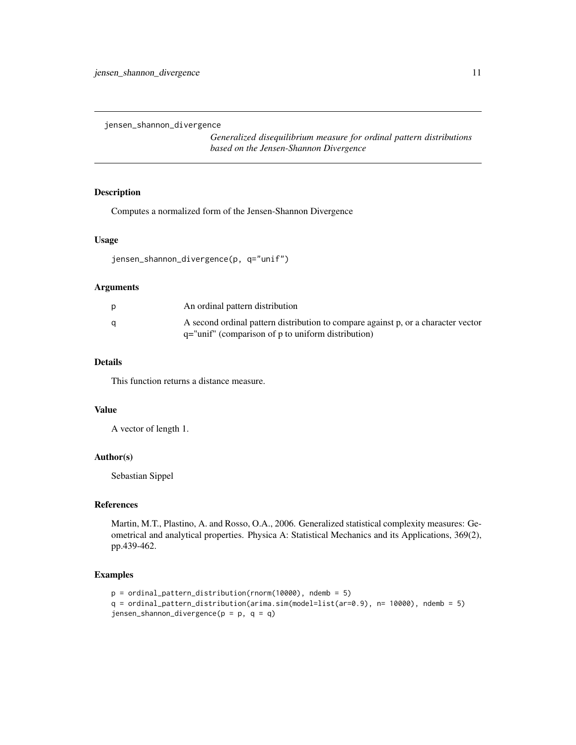<span id="page-10-0"></span>jensen\_shannon\_divergence

*Generalized disequilibrium measure for ordinal pattern distributions based on the Jensen-Shannon Divergence*

# Description

Computes a normalized form of the Jensen-Shannon Divergence

#### Usage

```
jensen_shannon_divergence(p, q="unif")
```
#### Arguments

|   | An ordinal pattern distribution                                                                                                             |
|---|---------------------------------------------------------------------------------------------------------------------------------------------|
| a | A second ordinal pattern distribution to compare against p, or a character vector<br>$q =$ "unif" (comparison of p to uniform distribution) |

# Details

This function returns a distance measure.

#### Value

A vector of length 1.

# Author(s)

Sebastian Sippel

# References

Martin, M.T., Plastino, A. and Rosso, O.A., 2006. Generalized statistical complexity measures: Geometrical and analytical properties. Physica A: Statistical Mechanics and its Applications, 369(2), pp.439-462.

```
p = ordinal_pattern_distribution(rnorm(10000), ndemb = 5)
q = ordinal_pattern_distribution(arima.sim(model=list(ar=0.9), n= 10000), ndemb = 5)
jensen_shannon_divergence(p = p, q = q)
```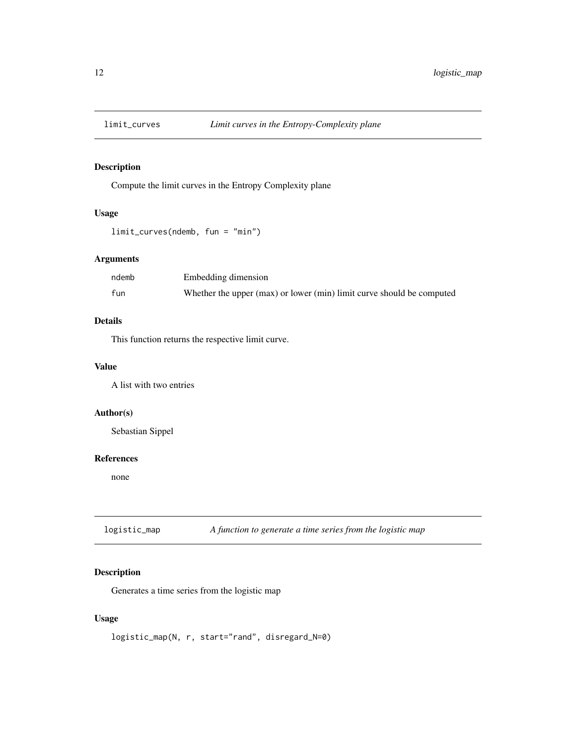<span id="page-11-0"></span>

Compute the limit curves in the Entropy Complexity plane

# Usage

```
limit_curves(ndemb, fun = "min")
```
# Arguments

| ndemb | Embedding dimension                                                   |
|-------|-----------------------------------------------------------------------|
| fun   | Whether the upper (max) or lower (min) limit curve should be computed |

# Details

This function returns the respective limit curve.

#### Value

A list with two entries

#### Author(s)

Sebastian Sippel

#### References

none

logistic\_map *A function to generate a time series from the logistic map*

# Description

Generates a time series from the logistic map

# Usage

logistic\_map(N, r, start="rand", disregard\_N=0)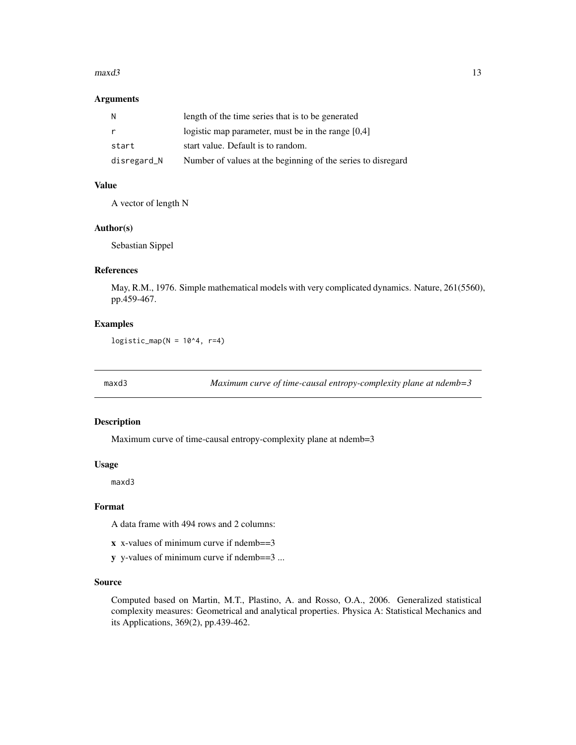#### <span id="page-12-0"></span> $maxd3$  13

#### Arguments

| N           | length of the time series that is to be generated            |
|-------------|--------------------------------------------------------------|
| r           | logistic map parameter, must be in the range $[0,4]$         |
| start       | start value. Default is to random.                           |
| disregard_N | Number of values at the beginning of the series to disregard |

# Value

A vector of length N

# Author(s)

Sebastian Sippel

#### References

May, R.M., 1976. Simple mathematical models with very complicated dynamics. Nature, 261(5560), pp.459-467.

#### Examples

 $logistic_map(N = 10^4, r=4)$ 

maxd3 *Maximum curve of time-causal entropy-complexity plane at ndemb=3*

#### Description

Maximum curve of time-causal entropy-complexity plane at ndemb=3

#### Usage

maxd3

# Format

A data frame with 494 rows and 2 columns:

- x x-values of minimum curve if ndemb==3
- y y-values of minimum curve if ndemb==3 ...

#### Source

Computed based on Martin, M.T., Plastino, A. and Rosso, O.A., 2006. Generalized statistical complexity measures: Geometrical and analytical properties. Physica A: Statistical Mechanics and its Applications, 369(2), pp.439-462.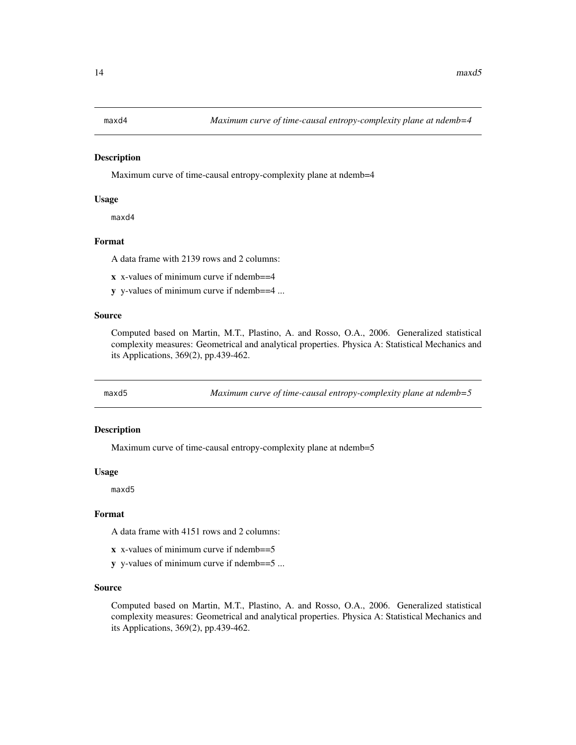<span id="page-13-0"></span>Maximum curve of time-causal entropy-complexity plane at ndemb=4

#### Usage

maxd4

#### Format

A data frame with 2139 rows and 2 columns:

- x x-values of minimum curve if ndemb==4
- y y-values of minimum curve if ndemb==4 ...

#### Source

Computed based on Martin, M.T., Plastino, A. and Rosso, O.A., 2006. Generalized statistical complexity measures: Geometrical and analytical properties. Physica A: Statistical Mechanics and its Applications, 369(2), pp.439-462.

maxd5 *Maximum curve of time-causal entropy-complexity plane at ndemb=5*

#### Description

Maximum curve of time-causal entropy-complexity plane at ndemb=5

#### Usage

maxd5

#### Format

A data frame with 4151 rows and 2 columns:

- x x-values of minimum curve if ndemb==5
- y y-values of minimum curve if ndemb==5 ...

#### Source

Computed based on Martin, M.T., Plastino, A. and Rosso, O.A., 2006. Generalized statistical complexity measures: Geometrical and analytical properties. Physica A: Statistical Mechanics and its Applications, 369(2), pp.439-462.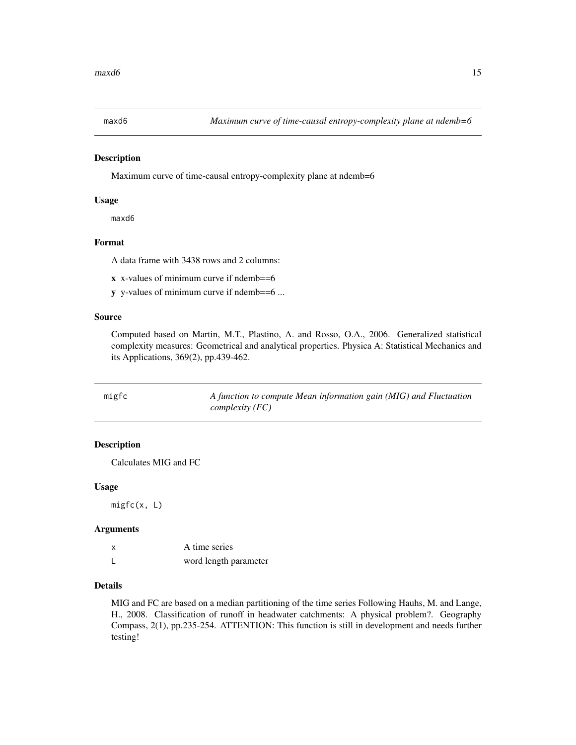<span id="page-14-0"></span>

Maximum curve of time-causal entropy-complexity plane at ndemb=6

#### Usage

maxd6

# Format

A data frame with 3438 rows and 2 columns:

x x-values of minimum curve if ndemb==6

y y-values of minimum curve if ndemb==6 ...

#### Source

Computed based on Martin, M.T., Plastino, A. and Rosso, O.A., 2006. Generalized statistical complexity measures: Geometrical and analytical properties. Physica A: Statistical Mechanics and its Applications, 369(2), pp.439-462.

| migfc | A function to compute Mean information gain (MIG) and Fluctuation |
|-------|-------------------------------------------------------------------|
|       | <i>complexity</i> $(FC)$                                          |

# Description

Calculates MIG and FC

#### Usage

migfc(x, L)

#### Arguments

| A time series         |
|-----------------------|
| word length parameter |

## Details

MIG and FC are based on a median partitioning of the time series Following Hauhs, M. and Lange, H., 2008. Classification of runoff in headwater catchments: A physical problem?. Geography Compass, 2(1), pp.235-254. ATTENTION: This function is still in development and needs further testing!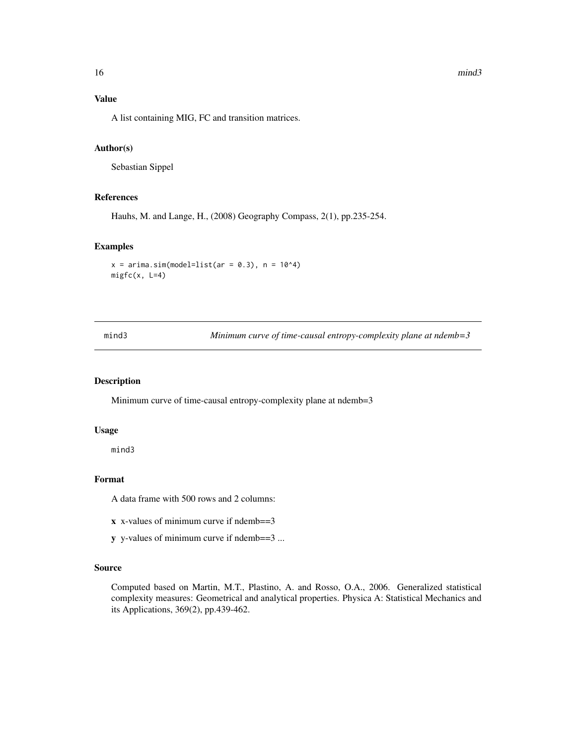### <span id="page-15-0"></span>Value

A list containing MIG, FC and transition matrices.

#### Author(s)

Sebastian Sippel

# References

Hauhs, M. and Lange, H., (2008) Geography Compass, 2(1), pp.235-254.

#### Examples

```
x = \arima.sim(model=list(ar = 0.3), n = 10<sup>4</sup>)migfc(x, L=4)
```
mind3 *Minimum curve of time-causal entropy-complexity plane at ndemb=3*

#### Description

Minimum curve of time-causal entropy-complexity plane at ndemb=3

# Usage

mind3

#### Format

A data frame with 500 rows and 2 columns:

- x x-values of minimum curve if ndemb==3
- y y-values of minimum curve if ndemb==3 ...

#### Source

Computed based on Martin, M.T., Plastino, A. and Rosso, O.A., 2006. Generalized statistical complexity measures: Geometrical and analytical properties. Physica A: Statistical Mechanics and its Applications, 369(2), pp.439-462.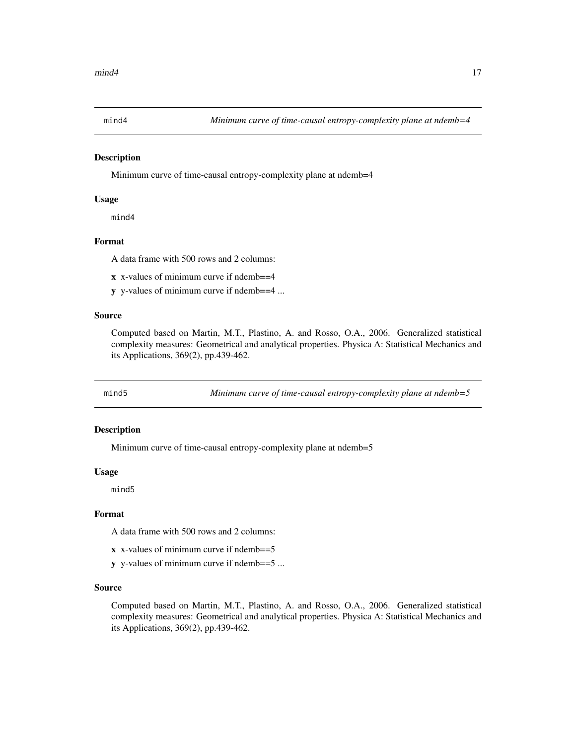<span id="page-16-0"></span>

Minimum curve of time-causal entropy-complexity plane at ndemb=4

#### Usage

mind4

#### Format

A data frame with 500 rows and 2 columns:

- x x-values of minimum curve if ndemb==4
- y y-values of minimum curve if ndemb==4 ...

#### Source

Computed based on Martin, M.T., Plastino, A. and Rosso, O.A., 2006. Generalized statistical complexity measures: Geometrical and analytical properties. Physica A: Statistical Mechanics and its Applications, 369(2), pp.439-462.

mind5 *Minimum curve of time-causal entropy-complexity plane at ndemb=5*

#### Description

Minimum curve of time-causal entropy-complexity plane at ndemb=5

#### Usage

mind5

#### Format

A data frame with 500 rows and 2 columns:

- x x-values of minimum curve if ndemb==5
- y y-values of minimum curve if ndemb==5 ...

#### Source

Computed based on Martin, M.T., Plastino, A. and Rosso, O.A., 2006. Generalized statistical complexity measures: Geometrical and analytical properties. Physica A: Statistical Mechanics and its Applications, 369(2), pp.439-462.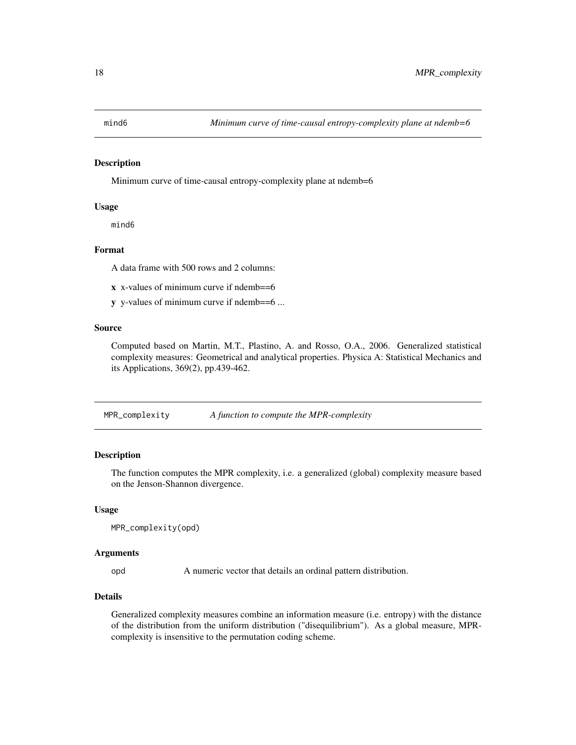<span id="page-17-0"></span>

Minimum curve of time-causal entropy-complexity plane at ndemb=6

# Usage

mind6

#### Format

A data frame with 500 rows and 2 columns:

x x-values of minimum curve if ndemb==6

y y-values of minimum curve if ndemb==6 ...

#### Source

Computed based on Martin, M.T., Plastino, A. and Rosso, O.A., 2006. Generalized statistical complexity measures: Geometrical and analytical properties. Physica A: Statistical Mechanics and its Applications, 369(2), pp.439-462.

MPR\_complexity *A function to compute the MPR-complexity*

# Description

The function computes the MPR complexity, i.e. a generalized (global) complexity measure based on the Jenson-Shannon divergence.

#### Usage

```
MPR_complexity(opd)
```
#### Arguments

opd A numeric vector that details an ordinal pattern distribution.

### Details

Generalized complexity measures combine an information measure (i.e. entropy) with the distance of the distribution from the uniform distribution ("disequilibrium"). As a global measure, MPRcomplexity is insensitive to the permutation coding scheme.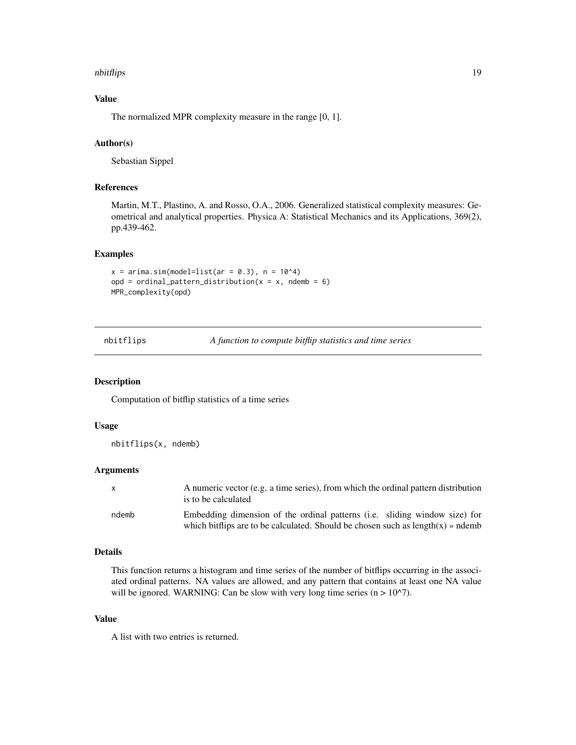#### <span id="page-18-0"></span>nbitflips the contract of the contract of the contract of the contract of the contract of the contract of the contract of the contract of the contract of the contract of the contract of the contract of the contract of the

# Value

The normalized MPR complexity measure in the range [0, 1].

# Author(s)

Sebastian Sippel

# References

Martin, M.T., Plastino, A. and Rosso, O.A., 2006. Generalized statistical complexity measures: Geometrical and analytical properties. Physica A: Statistical Mechanics and its Applications, 369(2), pp.439-462.

# Examples

```
x = \arima.sim(model=list(ar = 0.3), n = 10<sup>4</sup>)opd = ordinal_pattern_distribution(x = x, ndemb = 6)
MPR_complexity(opd)
```
nbitflips *A function to compute bitflip statistics and time series*

#### Description

Computation of bitflip statistics of a time series

# Usage

nbitflips(x, ndemb)

#### Arguments

| X     | A numeric vector (e.g. a time series), from which the ordinal pattern distribution<br>is to be calculated                                                       |
|-------|-----------------------------------------------------------------------------------------------------------------------------------------------------------------|
| ndemb | Embedding dimension of the ordinal patterns (i.e. sliding window size) for<br>which bittlips are to be calculated. Should be chosen such as $length(x)$ » ndemb |

#### Details

This function returns a histogram and time series of the number of bitflips occurring in the associated ordinal patterns. NA values are allowed, and any pattern that contains at least one NA value will be ignored. WARNING: Can be slow with very long time series  $(n > 10<sup>2</sup>)$ .

# Value

A list with two entries is returned.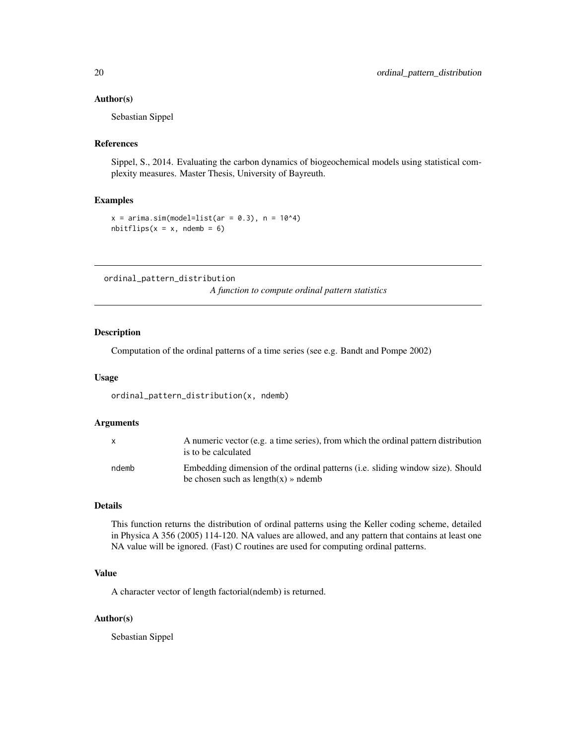#### <span id="page-19-0"></span>Author(s)

Sebastian Sippel

#### References

Sippel, S., 2014. Evaluating the carbon dynamics of biogeochemical models using statistical complexity measures. Master Thesis, University of Bayreuth.

#### Examples

```
x = \arima.sim(model=list(ar = 0.3), n = 10<sup>4</sup>)nbitflips(x = x, ndemb = 6)
```
ordinal\_pattern\_distribution

*A function to compute ordinal pattern statistics*

# Description

Computation of the ordinal patterns of a time series (see e.g. Bandt and Pompe 2002)

#### Usage

ordinal\_pattern\_distribution(x, ndemb)

#### Arguments

| $\mathsf{x}$ | A numeric vector (e.g. a time series), from which the ordinal pattern distribution<br>is to be calculated               |
|--------------|-------------------------------------------------------------------------------------------------------------------------|
| ndemb        | Embedding dimension of the ordinal patterns (i.e. sliding window size). Should<br>be chosen such as $length(x)$ » ndemb |

# Details

This function returns the distribution of ordinal patterns using the Keller coding scheme, detailed in Physica A 356 (2005) 114-120. NA values are allowed, and any pattern that contains at least one NA value will be ignored. (Fast) C routines are used for computing ordinal patterns.

# Value

A character vector of length factorial(ndemb) is returned.

#### Author(s)

Sebastian Sippel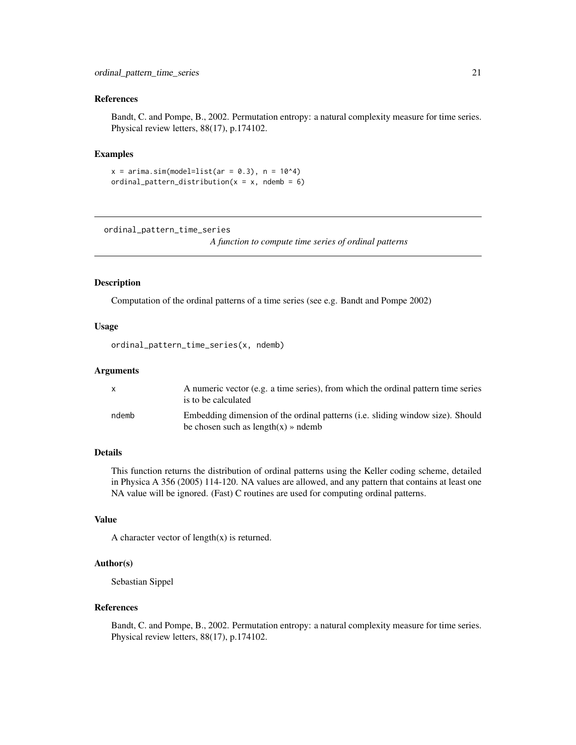#### <span id="page-20-0"></span>References

Bandt, C. and Pompe, B., 2002. Permutation entropy: a natural complexity measure for time series. Physical review letters, 88(17), p.174102.

### Examples

```
x = \arima.sim(model=list(ar = 0.3), n = 10<sup>4</sup>)ordinal_pattern_distribution(x = x, ndemb = 6)
```
ordinal\_pattern\_time\_series

*A function to compute time series of ordinal patterns*

#### Description

Computation of the ordinal patterns of a time series (see e.g. Bandt and Pompe 2002)

# Usage

ordinal\_pattern\_time\_series(x, ndemb)

#### Arguments

|       | A numeric vector (e.g. a time series), from which the ordinal pattern time series<br>is to be calculated                |
|-------|-------------------------------------------------------------------------------------------------------------------------|
| ndemb | Embedding dimension of the ordinal patterns (i.e. sliding window size). Should<br>be chosen such as $length(x)$ » ndemb |

# Details

This function returns the distribution of ordinal patterns using the Keller coding scheme, detailed in Physica A 356 (2005) 114-120. NA values are allowed, and any pattern that contains at least one NA value will be ignored. (Fast) C routines are used for computing ordinal patterns.

# Value

A character vector of  $length(x)$  is returned.

# Author(s)

Sebastian Sippel

#### References

Bandt, C. and Pompe, B., 2002. Permutation entropy: a natural complexity measure for time series. Physical review letters, 88(17), p.174102.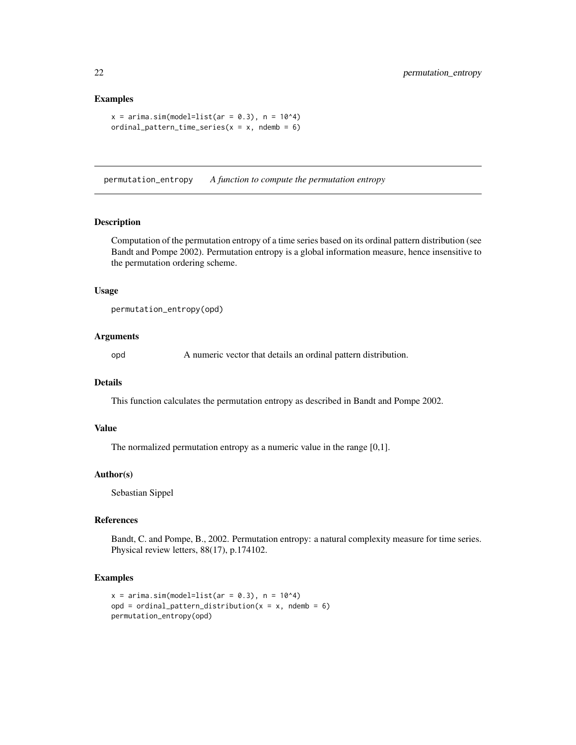#### Examples

```
x = \arima.sim(model=list(ar = 0.3), n = 10<sup>4</sup>)ordinal_pattern_time_series(x = x, ndemb = 6)
```
permutation\_entropy *A function to compute the permutation entropy*

# Description

Computation of the permutation entropy of a time series based on its ordinal pattern distribution (see Bandt and Pompe 2002). Permutation entropy is a global information measure, hence insensitive to the permutation ordering scheme.

#### Usage

```
permutation_entropy(opd)
```
# Arguments

opd A numeric vector that details an ordinal pattern distribution.

#### Details

This function calculates the permutation entropy as described in Bandt and Pompe 2002.

#### Value

The normalized permutation entropy as a numeric value in the range [0,1].

#### Author(s)

Sebastian Sippel

# References

Bandt, C. and Pompe, B., 2002. Permutation entropy: a natural complexity measure for time series. Physical review letters, 88(17), p.174102.

```
x = \arima.sim(model=list(ar = 0.3), n = 10<sup>4</sup>)opd = ordinal_pattern_distribution(x = x, ndemb = 6)
permutation_entropy(opd)
```
<span id="page-21-0"></span>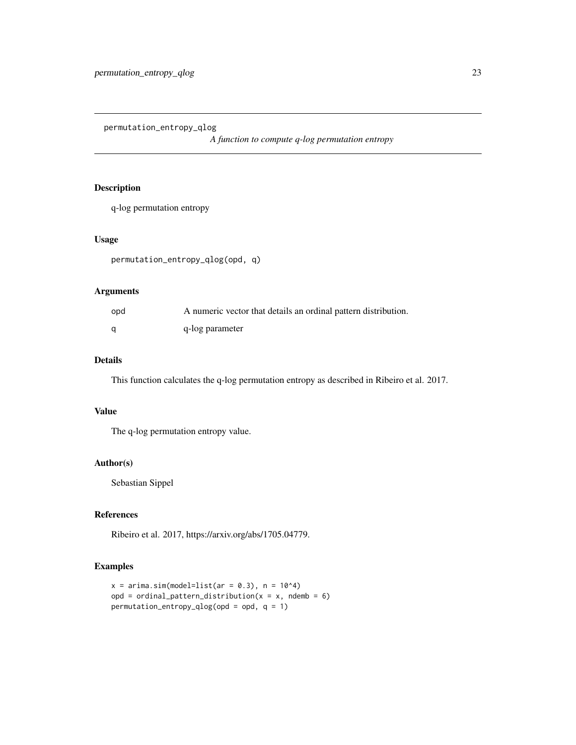<span id="page-22-0"></span>permutation\_entropy\_qlog

*A function to compute q-log permutation entropy*

# Description

q-log permutation entropy

# Usage

permutation\_entropy\_qlog(opd, q)

# Arguments

| opd | A numeric vector that details an ordinal pattern distribution. |
|-----|----------------------------------------------------------------|
| a   | q-log parameter                                                |

# Details

This function calculates the q-log permutation entropy as described in Ribeiro et al. 2017.

# Value

The q-log permutation entropy value.

# Author(s)

Sebastian Sippel

# References

Ribeiro et al. 2017, https://arxiv.org/abs/1705.04779.

```
x = \text{arima.sim}(\text{model=list}(\text{ar} = 0.3), n = 10^4)opd = ordinal_pattern_distribution(x = x, ndemb = 6)
permutation_entropy_qlog(opd = opd, q = 1)
```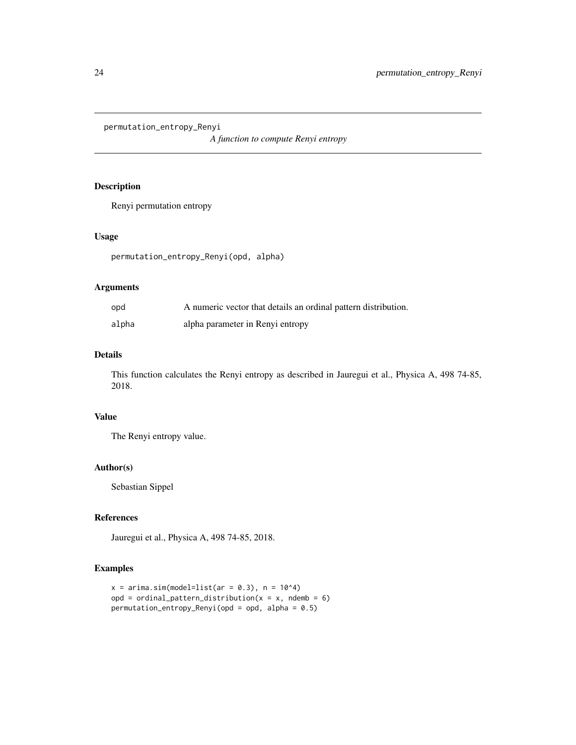<span id="page-23-0"></span>permutation\_entropy\_Renyi

*A function to compute Renyi entropy*

# Description

Renyi permutation entropy

# Usage

permutation\_entropy\_Renyi(opd, alpha)

# Arguments

| opd   | A numeric vector that details an ordinal pattern distribution. |
|-------|----------------------------------------------------------------|
| alpha | alpha parameter in Renyi entropy                               |

# Details

This function calculates the Renyi entropy as described in Jauregui et al., Physica A, 498 74-85, 2018.

# Value

The Renyi entropy value.

#### Author(s)

Sebastian Sippel

# References

Jauregui et al., Physica A, 498 74-85, 2018.

```
x = \text{arima.sim}(\text{model=list}(\text{ar} = 0.3), n = 10^4)opd = ordinal_pattern_distribution(x = x, ndemb = 6)
permutation_entropy_Renyi(opd = opd, alpha = 0.5)
```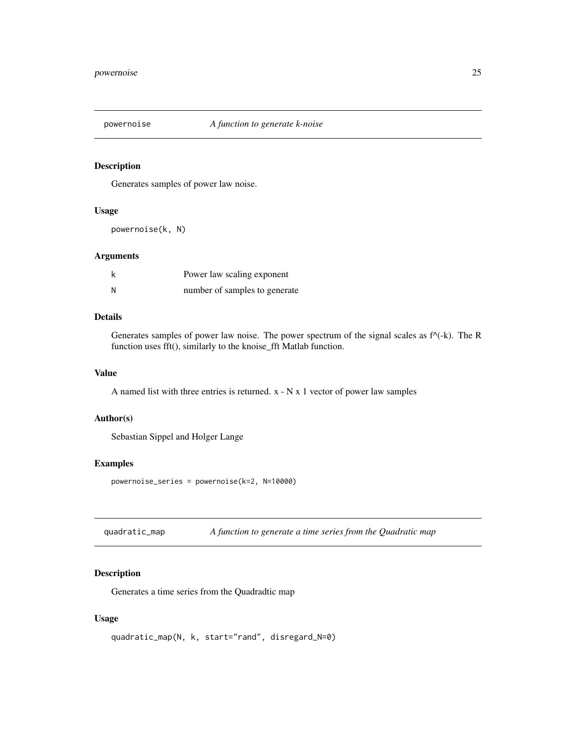<span id="page-24-0"></span>

Generates samples of power law noise.

#### Usage

powernoise(k, N)

# Arguments

|   | Power law scaling exponent    |
|---|-------------------------------|
| N | number of samples to generate |

# Details

Generates samples of power law noise. The power spectrum of the signal scales as  $f^{\wedge}(-k)$ . The R function uses fft(), similarly to the knoise\_fft Matlab function.

#### Value

A named list with three entries is returned. x - N x 1 vector of power law samples

# Author(s)

Sebastian Sippel and Holger Lange

#### Examples

powernoise\_series = powernoise(k=2, N=10000)

quadratic\_map *A function to generate a time series from the Quadratic map*

# Description

Generates a time series from the Quadradtic map

### Usage

```
quadratic_map(N, k, start="rand", disregard_N=0)
```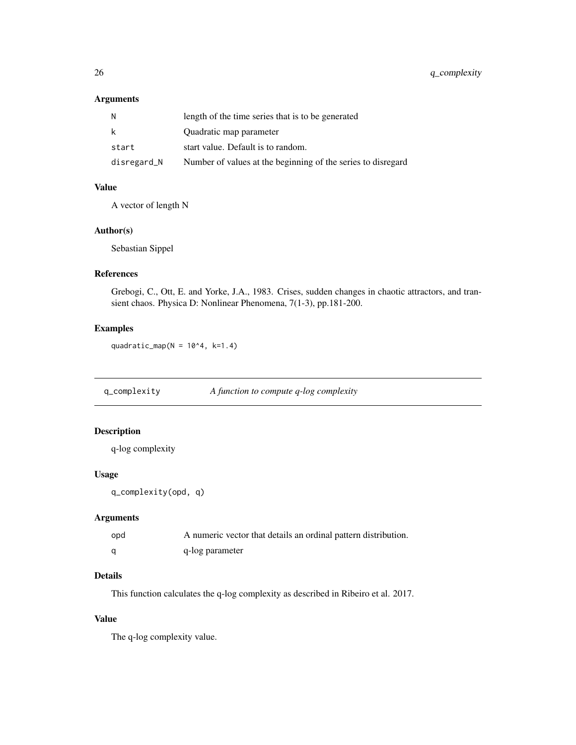# <span id="page-25-0"></span>Arguments

| N           | length of the time series that is to be generated            |
|-------------|--------------------------------------------------------------|
| k           | Quadratic map parameter                                      |
| start       | start value. Default is to random.                           |
| disregard_N | Number of values at the beginning of the series to disregard |

# Value

A vector of length N

#### Author(s)

Sebastian Sippel

# References

Grebogi, C., Ott, E. and Yorke, J.A., 1983. Crises, sudden changes in chaotic attractors, and transient chaos. Physica D: Nonlinear Phenomena, 7(1-3), pp.181-200.

# Examples

quadratic\_map( $N = 10^4, k=1.4$ )

q\_complexity *A function to compute q-log complexity*

# Description

q-log complexity

#### Usage

q\_complexity(opd, q)

#### Arguments

| opd | A numeric vector that details an ordinal pattern distribution. |
|-----|----------------------------------------------------------------|
|     | q-log parameter                                                |

# Details

This function calculates the q-log complexity as described in Ribeiro et al. 2017.

### Value

The q-log complexity value.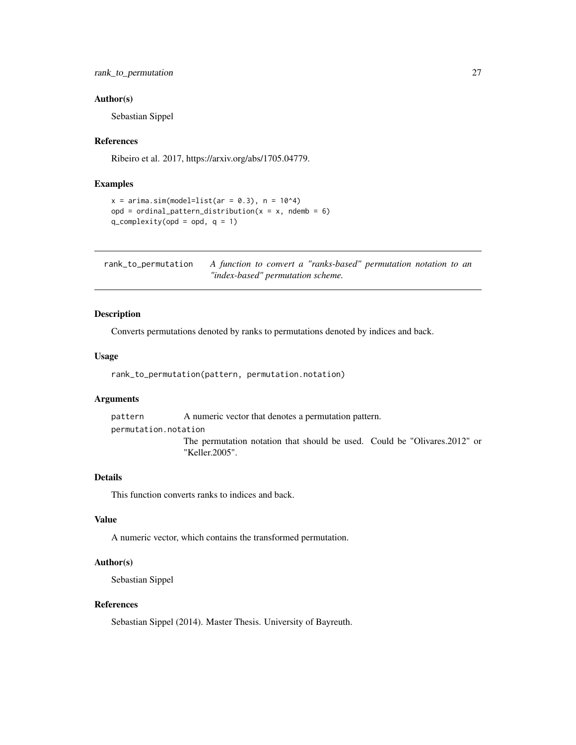#### <span id="page-26-0"></span>Author(s)

Sebastian Sippel

#### References

Ribeiro et al. 2017, https://arxiv.org/abs/1705.04779.

#### Examples

```
x = \arima.sim(model=list(ar = 0.3), n = 10<sup>4</sup>)opd = ordinal_pattern_distribution(x = x, ndemb = 6)
q_complexity(opd = opd, q = 1)
```
rank\_to\_permutation *A function to convert a "ranks-based" permutation notation to an "index-based" permutation scheme.*

#### Description

Converts permutations denoted by ranks to permutations denoted by indices and back.

# Usage

rank\_to\_permutation(pattern, permutation.notation)

#### Arguments

pattern A numeric vector that denotes a permutation pattern. permutation.notation

The permutation notation that should be used. Could be "Olivares.2012" or "Keller.2005".

#### Details

This function converts ranks to indices and back.

# Value

A numeric vector, which contains the transformed permutation.

#### Author(s)

Sebastian Sippel

# References

Sebastian Sippel (2014). Master Thesis. University of Bayreuth.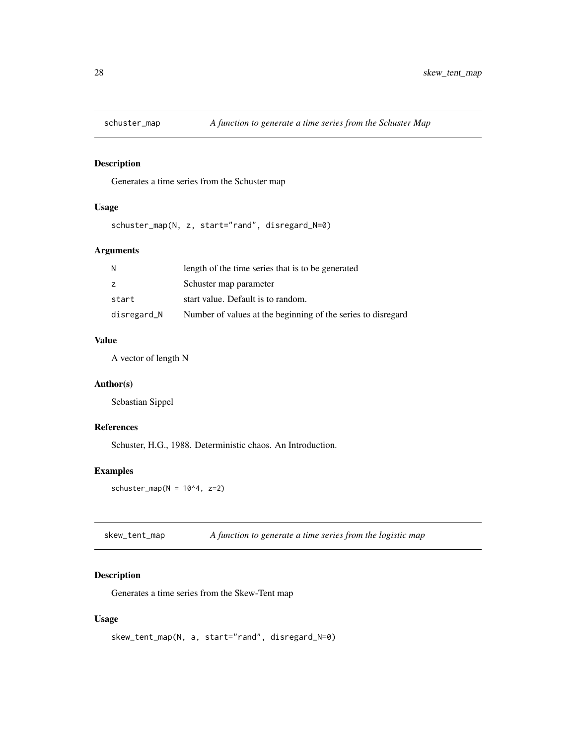<span id="page-27-0"></span>

Generates a time series from the Schuster map

# Usage

schuster\_map(N, z, start="rand", disregard\_N=0)

# Arguments

| N           | length of the time series that is to be generated            |
|-------------|--------------------------------------------------------------|
| z           | Schuster map parameter                                       |
| start       | start value. Default is to random.                           |
| disregard_N | Number of values at the beginning of the series to disregard |

# Value

A vector of length N

# Author(s)

Sebastian Sippel

# References

Schuster, H.G., 1988. Deterministic chaos. An Introduction.

# Examples

schuster\_map( $N = 10^4$ , z=2)

skew\_tent\_map *A function to generate a time series from the logistic map*

# Description

Generates a time series from the Skew-Tent map

# Usage

```
skew_tent_map(N, a, start="rand", disregard_N=0)
```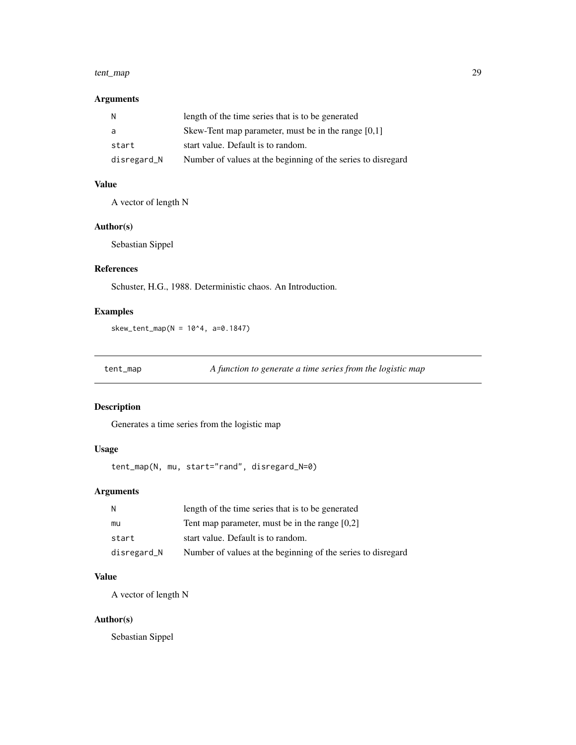#### <span id="page-28-0"></span>tent\_map 29

# Arguments

| N           | length of the time series that is to be generated            |
|-------------|--------------------------------------------------------------|
| a           | Skew-Tent map parameter, must be in the range $[0,1]$        |
| start       | start value. Default is to random.                           |
| disregard_N | Number of values at the beginning of the series to disregard |

# Value

A vector of length N

# Author(s)

Sebastian Sippel

# References

Schuster, H.G., 1988. Deterministic chaos. An Introduction.

# Examples

skew\_tent\_map( $N = 10^{4}$ , a=0.1847)

tent\_map *A function to generate a time series from the logistic map*

# Description

Generates a time series from the logistic map

# Usage

tent\_map(N, mu, start="rand", disregard\_N=0)

# Arguments

| N           | length of the time series that is to be generated            |
|-------------|--------------------------------------------------------------|
| mu          | Tent map parameter, must be in the range $[0,2]$             |
| start       | start value. Default is to random.                           |
| disregard_N | Number of values at the beginning of the series to disregard |

# Value

A vector of length N

# Author(s)

Sebastian Sippel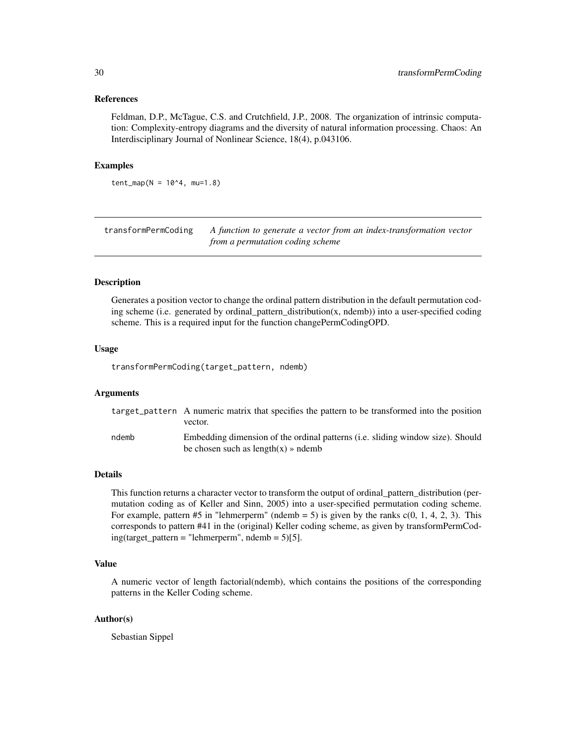#### <span id="page-29-0"></span>References

Feldman, D.P., McTague, C.S. and Crutchfield, J.P., 2008. The organization of intrinsic computation: Complexity-entropy diagrams and the diversity of natural information processing. Chaos: An Interdisciplinary Journal of Nonlinear Science, 18(4), p.043106.

#### Examples

 $tent_map(N = 10<sup>4</sup>, mu=1.8)$ 

transformPermCoding *A function to generate a vector from an index-transformation vector from a permutation coding scheme*

#### Description

Generates a position vector to change the ordinal pattern distribution in the default permutation coding scheme (i.e. generated by ordinal\_pattern\_distribution(x, ndemb)) into a user-specified coding scheme. This is a required input for the function changePermCodingOPD.

#### Usage

transformPermCoding(target\_pattern, ndemb)

# Arguments

|       | target_pattern A numeric matrix that specifies the pattern to be transformed into the position<br>vector.                |
|-------|--------------------------------------------------------------------------------------------------------------------------|
| ndemb | Embedding dimension of the ordinal patterns (i.e. sliding window size). Should<br>be chosen such as length $(x)$ » ndemb |

#### Details

This function returns a character vector to transform the output of ordinal\_pattern\_distribution (permutation coding as of Keller and Sinn, 2005) into a user-specified permutation coding scheme. For example, pattern #5 in "lehmerperm" (ndemb = 5) is given by the ranks  $c(0, 1, 4, 2, 3)$ . This corresponds to pattern #41 in the (original) Keller coding scheme, as given by transformPermCod $ing(target\_pattern = "lehmerperm", ndemb = 5)[5].$ 

# Value

A numeric vector of length factorial(ndemb), which contains the positions of the corresponding patterns in the Keller Coding scheme.

### Author(s)

Sebastian Sippel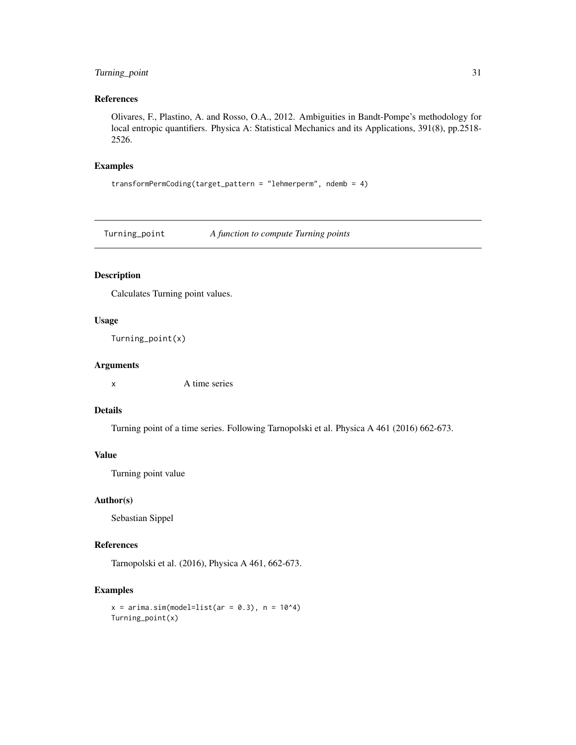# <span id="page-30-0"></span>Turning\_point 31

# References

Olivares, F., Plastino, A. and Rosso, O.A., 2012. Ambiguities in Bandt-Pompe's methodology for local entropic quantifiers. Physica A: Statistical Mechanics and its Applications, 391(8), pp.2518- 2526.

# Examples

```
transformPermCoding(target_pattern = "lehmerperm", ndemb = 4)
```
Turning\_point *A function to compute Turning points*

# Description

Calculates Turning point values.

#### Usage

```
Turning_point(x)
```
#### Arguments

x A time series

# Details

Turning point of a time series. Following Tarnopolski et al. Physica A 461 (2016) 662-673.

# Value

Turning point value

#### Author(s)

Sebastian Sippel

# References

Tarnopolski et al. (2016), Physica A 461, 662-673.

```
x = \text{arima.sim}(\text{model=list}(\text{ar} = 0.3), n = 10^4)Turning_point(x)
```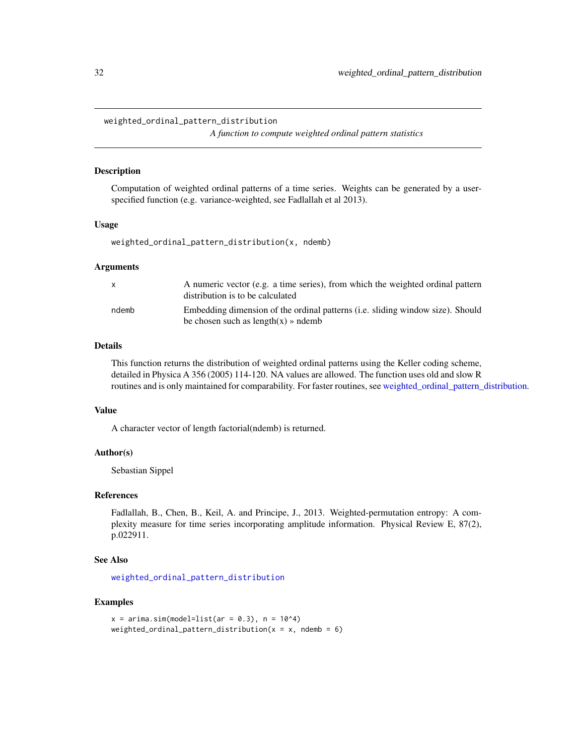#### <span id="page-31-1"></span><span id="page-31-0"></span>weighted\_ordinal\_pattern\_distribution

*A function to compute weighted ordinal pattern statistics*

#### Description

Computation of weighted ordinal patterns of a time series. Weights can be generated by a userspecified function (e.g. variance-weighted, see Fadlallah et al 2013).

#### Usage

weighted\_ordinal\_pattern\_distribution(x, ndemb)

#### **Arguments**

| X     | A numeric vector (e.g. a time series), from which the weighted ordinal pattern<br>distribution is to be calculated      |
|-------|-------------------------------------------------------------------------------------------------------------------------|
| ndemb | Embedding dimension of the ordinal patterns (i.e. sliding window size). Should<br>be chosen such as $length(x)$ » ndemb |

# Details

This function returns the distribution of weighted ordinal patterns using the Keller coding scheme, detailed in Physica A 356 (2005) 114-120. NA values are allowed. The function uses old and slow R routines and is only maintained for comparability. For faster routines, see [weighted\\_ordinal\\_pattern\\_distribution.](#page-31-1)

#### Value

A character vector of length factorial(ndemb) is returned.

#### Author(s)

Sebastian Sippel

#### References

Fadlallah, B., Chen, B., Keil, A. and Principe, J., 2013. Weighted-permutation entropy: A complexity measure for time series incorporating amplitude information. Physical Review E, 87(2), p.022911.

#### See Also

[weighted\\_ordinal\\_pattern\\_distribution](#page-31-1)

```
x = \arima.sim(model=list(ar = 0.3), n = 10<sup>4</sup>)weighted_ordinal_pattern_distribution(x = x, ndemb = 6)
```